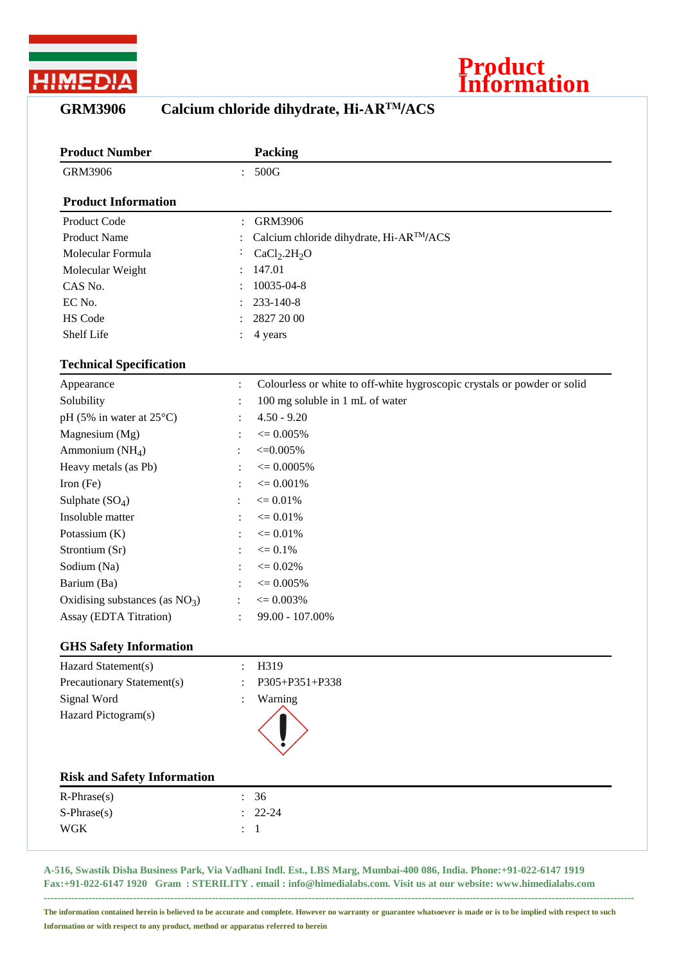

## **Product Information**

| <b>GRM3906</b> |  | Calcium chloride dihydrate, Hi-ARTM/ACS |
|----------------|--|-----------------------------------------|
|                |  |                                         |

| <b>Product Number</b>              | Packing                                                                                    |  |  |
|------------------------------------|--------------------------------------------------------------------------------------------|--|--|
| <b>GRM3906</b>                     | 500G<br>$\ddot{\cdot}$                                                                     |  |  |
| <b>Product Information</b>         |                                                                                            |  |  |
| Product Code                       | <b>GRM3906</b>                                                                             |  |  |
| <b>Product Name</b>                | Calcium chloride dihydrate, Hi-ARTM/ACS                                                    |  |  |
| Molecular Formula                  | CaCl <sub>2</sub> .2H <sub>2</sub> O                                                       |  |  |
| Molecular Weight                   | 147.01                                                                                     |  |  |
| CAS No.                            | 10035-04-8                                                                                 |  |  |
| EC No.                             | 233-140-8                                                                                  |  |  |
| HS Code                            | 2827 20 00                                                                                 |  |  |
| Shelf Life                         | 4 years                                                                                    |  |  |
| <b>Technical Specification</b>     |                                                                                            |  |  |
| Appearance                         | Colourless or white to off-white hygroscopic crystals or powder or solid<br>$\ddot{\cdot}$ |  |  |
| Solubility                         | 100 mg soluble in 1 mL of water<br>$\ddot{\cdot}$                                          |  |  |
| pH (5% in water at $25^{\circ}$ C) | $4.50 - 9.20$                                                                              |  |  |
| Magnesium (Mg)                     | $\epsilon = 0.005\%$                                                                       |  |  |
| Ammonium (NH <sub>4</sub> )        | $\leq 0.005\%$                                                                             |  |  |
| Heavy metals (as Pb)               | $\epsilon = 0.0005\%$                                                                      |  |  |
| Iron (Fe)                          | $\epsilon = 0.001\%$                                                                       |  |  |
| Sulphate $(SO4)$                   | $\epsilon = 0.01\%$                                                                        |  |  |
| Insoluble matter                   | $\leq 0.01\%$                                                                              |  |  |
| Potassium (K)                      | $\leq 0.01\%$                                                                              |  |  |
| Strontium (Sr)                     | $\leq 0.1\%$                                                                               |  |  |
| Sodium (Na)                        | $\epsilon = 0.02\%$                                                                        |  |  |
| Barium (Ba)                        | $\epsilon = 0.005\%$                                                                       |  |  |
| Oxidising substances (as $NO3$ )   | $\epsilon = 0.003\%$<br>÷                                                                  |  |  |
| Assay (EDTA Titration)             | 99.00 - 107.00%                                                                            |  |  |
| <b>GHS Safety Information</b>      |                                                                                            |  |  |
| Hazard Statement(s)                | H319                                                                                       |  |  |
| Precautionary Statement(s)         | P305+P351+P338                                                                             |  |  |
| Signal Word                        | Warning                                                                                    |  |  |
| Hazard Pictogram(s)                |                                                                                            |  |  |
|                                    |                                                                                            |  |  |
| <b>Risk and Safety Information</b> |                                                                                            |  |  |
| $R$ -Phrase $(s)$                  | 36                                                                                         |  |  |
| S-Phrase(s)                        | $22 - 24$                                                                                  |  |  |
| <b>WGK</b>                         | $\mathbf{1}$                                                                               |  |  |

**A-516, Swastik Disha Business Park, Via Vadhani Indl. Est., LBS Marg, Mumbai-400 086, India. Phone:+91-022-6147 1919 Fax:+91-022-6147 1920 Gram : STERILITY . email : info@himedialabs.com. Visit us at our website: www.himedialabs.com**

**The information contained herein is believed to be accurate and complete. However no warranty or guarantee whatsoever is made or is to be implied with respect to such Information or with respect to any product, method or apparatus referred to herein**

**----------------------------------------------------------------------------------------------------------------------------------------------------------------------------**